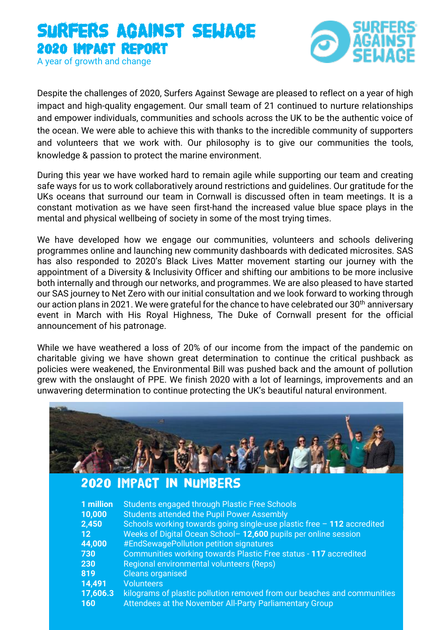# Surfers against sewage 2020 Impact report A year of growth and change



Despite the challenges of 2020, Surfers Against Sewage are pleased to reflect on a year of high impact and high-quality engagement. Our small team of 21 continued to nurture relationships and empower individuals, communities and schools across the UK to be the authentic voice of the ocean. We were able to achieve this with thanks to the incredible community of supporters and volunteers that we work with. Our philosophy is to give our communities the tools, knowledge & passion to protect the marine environment.

During this year we have worked hard to remain agile while supporting our team and creating safe ways for us to work collaboratively around restrictions and guidelines. Our gratitude for the UKs oceans that surround our team in Cornwall is discussed often in team meetings. It is a constant motivation as we have seen first-hand the increased value blue space plays in the mental and physical wellbeing of society in some of the most trying times.

We have developed how we engage our communities, volunteers and schools delivering programmes online and launching new community dashboards with dedicated microsites. SAS has also responded to 2020's Black Lives Matter movement starting our journey with the appointment of a Diversity & Inclusivity Officer and shifting our ambitions to be more inclusive both internally and through our networks, and programmes. We are also pleased to have started our SAS journey to Net Zero with our initial consultation and we look forward to working through our action plans in 2021. We were grateful for the chance to have celebrated our 30<sup>th</sup> anniversary event in March with His Royal Highness, The Duke of Cornwall present for the official announcement of his patronage.

While we have weathered a loss of 20% of our income from the impact of the pandemic on charitable giving we have shown great determination to continue the critical pushback as policies were weakened, the Environmental Bill was pushed back and the amount of pollution grew with the onslaught of PPE. We finish 2020 with a lot of learnings, improvements and an unwavering determination to continue protecting the UK's beautiful natural environment.

| 1 million<br>10,000<br>2,450<br>12 <sub>2</sub><br>44,000<br>730 | 2020 IMPACT IN NUMBERS<br>Students engaged through Plastic Free Schools<br><b>Students attended the Pupil Power Assembly</b><br>Schools working towards going single-use plastic free - 112 accredited<br>Weeks of Digital Ocean School-12,600 pupils per online session<br>#EndSewagePollution petition signatures<br>Communities working towards Plastic Free status - 117 accredited |  |
|------------------------------------------------------------------|-----------------------------------------------------------------------------------------------------------------------------------------------------------------------------------------------------------------------------------------------------------------------------------------------------------------------------------------------------------------------------------------|--|
| 230<br>819<br>14,491<br>17,606.3<br>160                          | Regional environmental volunteers (Reps)<br><b>Cleans organised</b><br><b>Volunteers</b><br>kilograms of plastic pollution removed from our beaches and communities<br>Attendees at the November All-Party Parliamentary Group                                                                                                                                                          |  |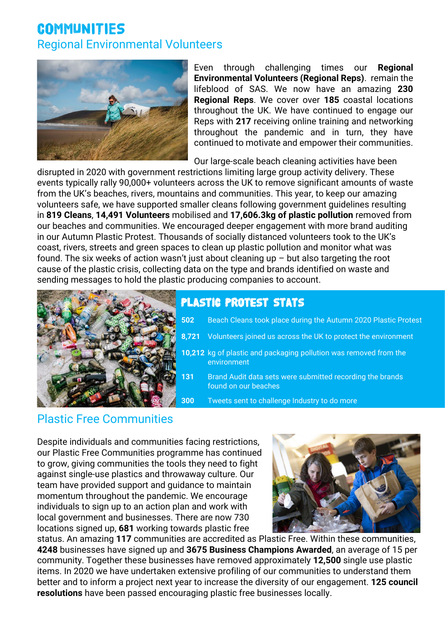# COMMUNITIES Regional Environmental Volunteers



Even through challenging times our **Regional Environmental Volunteers (Regional Reps)**. remain the lifeblood of SAS. We now have an amazing **230 Regional Reps**. We cover over **185** coastal locations throughout the UK. We have continued to engage our Reps with **217** receiving online training and networking throughout the pandemic and in turn, they have continued to motivate and empower their communities.

Our large-scale beach cleaning activities have been

disrupted in 2020 with government restrictions limiting large group activity delivery. These events typically rally 90,000+ volunteers across the UK to remove significant amounts of waste from the UK's beaches, rivers, mountains and communities. This year, to keep our amazing volunteers safe, we have supported smaller cleans following government guidelines resulting in **819 Cleans**, **14,491 Volunteers** mobilised and **17,606.3kg of plastic pollution** removed from our beaches and communities. We encouraged deeper engagement with more brand auditing in our Autumn Plastic Protest. Thousands of socially distanced volunteers took to the UK's coast, rivers, streets and green spaces to clean up plastic pollution and monitor what was found. The six weeks of action wasn't just about cleaning up  $-$  but also targeting the root cause of the plastic crisis, collecting data on the type and brands identified on waste and sending messages to hold the plastic producing companies to account.



## Plastic Protest Stats

- **502** Beach Cleans took place during the Autumn 2020 Plastic Protest
- **8,721** Volunteers joined us across the UK to protect the environment
- **10,212** kg of plastic and packaging pollution was removed from the environment
- **131** Brand Audit data sets were submitted recording the brands found on our beaches
- **300** Tweets sent to challenge Industry to do more

## Plastic Free Communities

Despite individuals and communities facing restrictions, our Plastic Free Communities programme has continued to grow, giving communities the tools they need to fight against single-use plastics and throwaway culture. Our team have provided support and guidance to maintain momentum throughout the pandemic. We encourage individuals to sign up to an action plan and work with local government and businesses. There are now 730 locations signed up, **681** working towards plastic free



status. An amazing **117** communities are accredited as Plastic Free. Within these communities, **4248** businesses have signed up and **3675 Business Champions Awarded**, an average of 15 per community. Together these businesses have removed approximately **12,500** single use plastic items. In 2020 we have undertaken extensive profiling of our communities to understand them better and to inform a project next year to increase the diversity of our engagement. **125 council resolutions** have been passed encouraging plastic free businesses locally.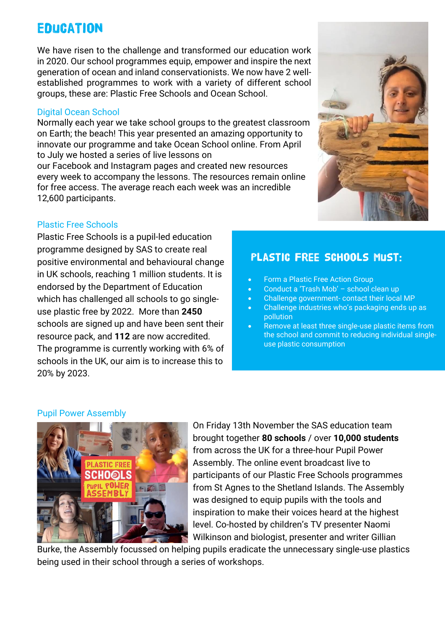# **EDUCATION**

We have risen to the challenge and transformed our education work in 2020. Our school programmes equip, empower and inspire the next generation of ocean and inland conservationists. We now have 2 wellestablished programmes to work with a variety of different school groups, these are: Plastic Free Schools and Ocean School.

### Digital Ocean School

Normally each year we take school groups to the greatest classroom on Earth; the beach! This year presented an amazing opportunity to innovate our programme and take Ocean School online. From April to July we hosted a series of live lessons on

our Facebook and Instagram pages and created new resources every week to accompany the lessons. The resources remain online for free access. The average reach each week was an incredible 12,600 participants.

## Plastic Free Schools

Plastic Free Schools is a pupil-led education programme designed by SAS to create real positive environmental and behavioural change in UK schools, reaching 1 million students. It is endorsed by the Department of Education which has challenged all schools to go singleuse plastic free by 2022. More than **2450** schools are signed up and have been sent their resource pack, and **112** are now accredited. The programme is currently working with 6% of schools in the UK, our aim is to increase this to 20% by 2023.

## Plastic Free Schools must:

- Form a Plastic Free Action Group
- Conduct a 'Trash Mob' school clean up
- Challenge government- contact their local MP
- Challenge industries who's packaging ends up as pollution
- Remove at least three single-use plastic items from the school and commit to reducing individual singleuse plastic consumption

### Pupil Power Assembly



On Friday 13th November the SAS education team brought together **80 schools** / over **10,000 students** from across the UK for a three-hour Pupil Power Assembly. The online event broadcast live to participants of our Plastic Free Schools programmes from St Agnes to the Shetland Islands. The Assembly was designed to equip pupils with the tools and inspiration to make their voices heard at the highest level. Co-hosted by children's TV presenter Naomi Wilkinson and biologist, presenter and writer Gillian

Burke, the Assembly focussed on helping pupils eradicate the unnecessary single-use plastics being used in their school through a series of workshops.

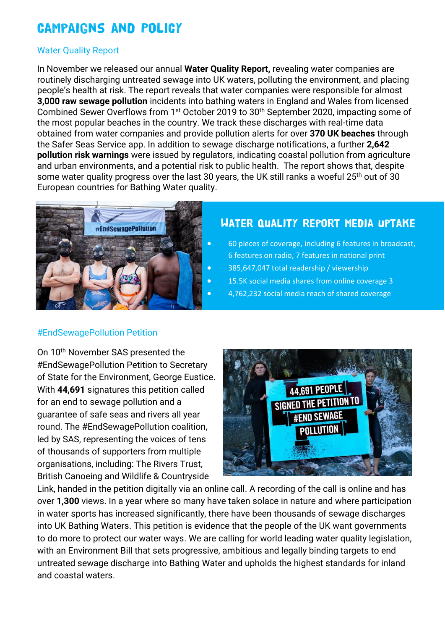# Campaigns and Policy

### Water Quality Report

In November we released our annual **Water Quality Report,** revealing water companies are routinely discharging untreated sewage into UK waters, polluting the environment, and placing people's health at risk. The report reveals that water companies were responsible for almost **3,000 raw sewage pollution** incidents into bathing waters in England and Wales from licensed Combined Sewer Overflows from 1st October 2019 to 30th September 2020, impacting some of the most popular beaches in the country. We track these discharges with real-time data obtained from water companies and provide pollution alerts for over **370 UK beaches** through the Safer Seas Service app. In addition to sewage discharge notifications, a further **2,642 pollution risk warnings** were issued by regulators, indicating coastal pollution from agriculture and urban environments, and a potential risk to public health. The report shows that, despite some water quality progress over the last 30 years, the UK still ranks a woeful 25<sup>th</sup> out of 30 European countries for Bathing Water quality.



## Water quality report media uptake

- 60 pieces of coverage, including 6 features in broadcast, 6 features on radio, 7 features in national print
- 385,647,047 total readership / viewership
- 15.5K social media shares from online coverage 3
	- 4,762,232 social media reach of shared coverage

### #EndSewagePollution Petition

On 10<sup>th</sup> November SAS presented the #EndSewagePollution Petition to Secretary of State for the Environment, George Eustice. With **44,691** signatures this petition called for an end to sewage pollution and a guarantee of safe seas and rivers all year round. The #EndSewagePollution coalition, led by SAS, representing the voices of tens of thousands of supporters from multiple organisations, including: The Rivers Trust, British Canoeing and Wildlife & Countryside



Link, handed in the petition digitally via an online call. A recording of the call is online and has over **1,300** views. In a year where so many have taken solace in nature and where participation in water sports has increased significantly, there have been thousands of sewage discharges into UK Bathing Waters. This petition is evidence that the people of the UK want governments to do more to protect our water ways. We are calling for world leading water quality legislation, with an Environment Bill that sets progressive, ambitious and legally binding targets to end untreated sewage discharge into Bathing Water and upholds the highest standards for inland and coastal waters.